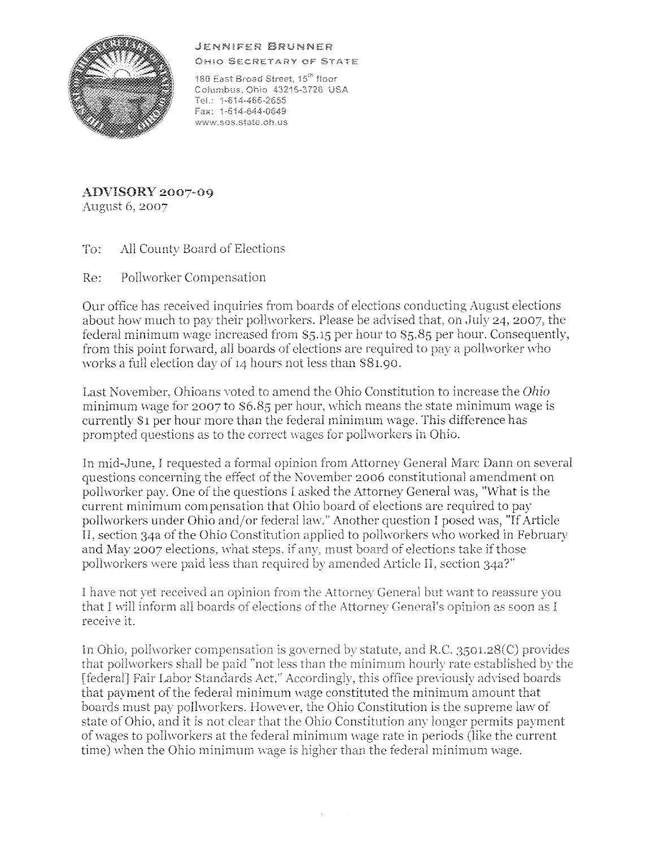## JENN!Y:ER BRUNNER



OHIO SECRETARY OF STATE

180 East Broad Street, 15<sup>th</sup> floor Columbus, Chlo 43215-3726 USA Te!.. 1~Si 4~466-2655 Fax: 1-614-644-0649 www.sos.state.oh.us

**ADVISORY 2007-09**  August 6, 2007

To: All County Board of Elections

Re: Pollworker Compensation

Our office has received inquiries from boards of elections conducting August elections about how much to pay their pollworkers. Please be advised that, on July 24, 2007, the federal minimum wage increased from S5.15 per hour to S5.85 per hour. Consequently, from this point forward, all boards of elections are required to pav a pollworker who works a full election day of 14 hours not less than S81.90.

Last November, Ohioans voted to amend the Ohio Constitution to increase the *Ohio* minimum wage for 2007 to \$6.85 per hour, which means the state minimum wage is currently Sl per hour more than the federal minimum wage. This difference has prompted questions as to the correct wages for pollworkers in Ohio.

In mid-June, I requested a formal opinion from Attorney General Marc Dann on several questions concerning the effect of the November 2006 constitutional amendment on pollworker pay. One of the questions I asked the Attorney General was, "What is the current minimum compensation that Ohio board of elections are required to pay pollworkers under Ohio and/or federal law." Another question I posed was, "IfArticle II, section 34a of the Ohio Constitution applied to pollworkers who worked in February and May 2007 elections, what steps, if any, must board of elections take if those polhvorkers were paid less than required by amended Article ll, section 34a?"

I have not yet received an opinion from the Attorney General but want to reassure you that I will inform all boards of elections of the Attorney General's opinion as soon as I receive it.

In Ohio, pollworker compensation is governed by statute, and R.C.  $3501.28(C)$  provides that pollworkers shall be paid "not less than the minimum hourly rate established by the [federal] Fair Labor Standards Act." Accordingly, this office previously advised boards that payment of the federal minimum wage constituted the minimum amount that boards must pay pollworkers. However, the Ohio Constitution is the supreme law of state of Ohio, and it is not clear that the Ohio Constitution any longer permits payment of wages to pollworkers at the federal minimum wage rate in periods (like the current time) when the Ohio minimum wage is higher than the federal minimum wage.